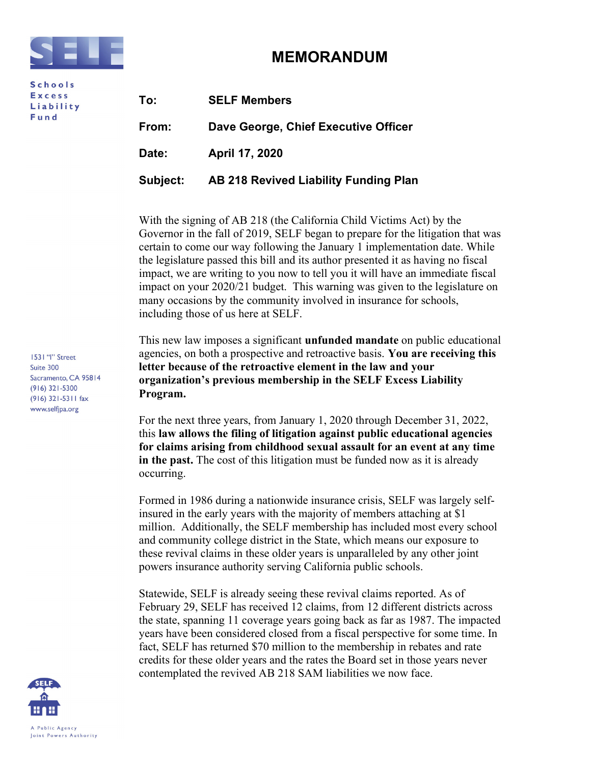

**Schools Excess** Liability Fund

## MEMORANDUM

| To:      | <b>SELF Members</b>                   |
|----------|---------------------------------------|
| From:    | Dave George, Chief Executive Officer  |
| Date:    | April 17, 2020                        |
| Subject: | AB 218 Revived Liability Funding Plan |

With the signing of AB 218 (the California Child Victims Act) by the Governor in the fall of 2019, SELF began to prepare for the litigation that was certain to come our way following the January 1 implementation date. While the legislature passed this bill and its author presented it as having no fiscal impact, we are writing to you now to tell you it will have an immediate fiscal impact on your 2020/21 budget. This warning was given to the legislature on many occasions by the community involved in insurance for schools, including those of us here at SELF.

This new law imposes a significant **unfunded mandate** on public educational agencies, on both a prospective and retroactive basis. You are receiving this letter because of the retroactive element in the law and your organization's previous membership in the SELF Excess Liability Program.

For the next three years, from January 1, 2020 through December 31, 2022, this law allows the filing of litigation against public educational agencies for claims arising from childhood sexual assault for an event at any time in the past. The cost of this litigation must be funded now as it is already occurring.

Formed in 1986 during a nationwide insurance crisis, SELF was largely selfinsured in the early years with the majority of members attaching at \$1 million. Additionally, the SELF membership has included most every school and community college district in the State, which means our exposure to these revival claims in these older years is unparalleled by any other joint powers insurance authority serving California public schools.

Statewide, SELF is already seeing these revival claims reported. As of February 29, SELF has received 12 claims, from 12 different districts across the state, spanning 11 coverage years going back as far as 1987. The impacted years have been considered closed from a fiscal perspective for some time. In fact, SELF has returned \$70 million to the membership in rebates and rate credits for these older years and the rates the Board set in those years never contemplated the revived AB 218 SAM liabilities we now face.

1531 "I" Street Suite 300 Sacramento, CA 95814  $(916)$  321-5300 (916) 321-5311 fax www.selfjpa.org